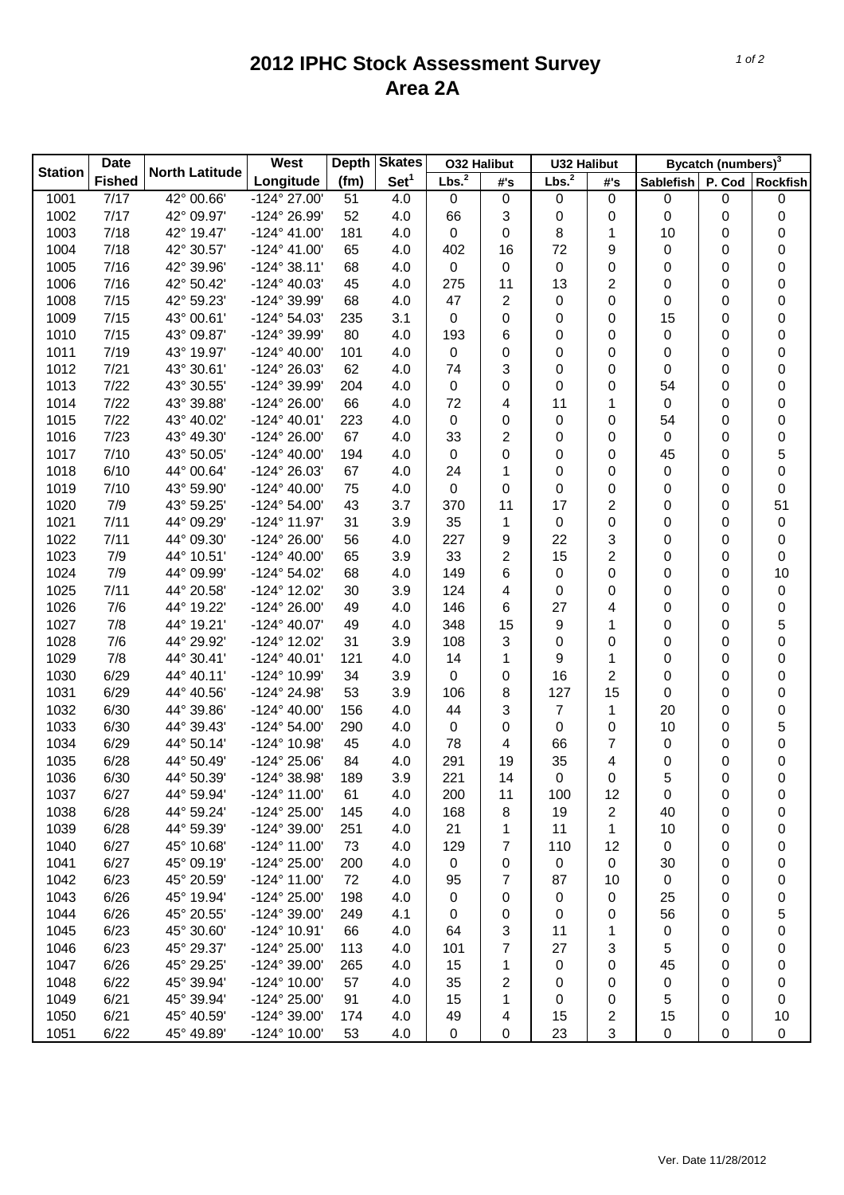## **2012 IPHC Stock Assessment Survey Area 2A**

|                | <b>Date</b>   |                       | West                  | <b>Skates</b><br><b>Depth</b> |                  | <b>O32 Halibut</b> |                | <b>U32 Halibut</b> |                  | Bycatch (numbers) <sup>3</sup> |   |           |
|----------------|---------------|-----------------------|-----------------------|-------------------------------|------------------|--------------------|----------------|--------------------|------------------|--------------------------------|---|-----------|
| <b>Station</b> | <b>Fished</b> | <b>North Latitude</b> | Longitude             | (fm)                          | Set <sup>1</sup> | Lbs. <sup>2</sup>  | #'s            | Lbs. <sup>2</sup>  | #'s              | Sablefish P. Cod Rockfish      |   |           |
| 1001           | 7/17          | 42° 00.66'            | -124° 27.00'          | 51                            | 4.0              | $\boldsymbol{0}$   | 0              | 0                  | 0                | 0                              | 0 | 0         |
| 1002           | 7/17          | 42° 09.97'            | -124° 26.99'          | 52                            | 4.0              | 66                 | 3              | 0                  | $\boldsymbol{0}$ | 0                              | 0 | 0         |
| 1003           | 7/18          | 42° 19.47'            | $-124^{\circ}$ 41.00' | 181                           | 4.0              | $\boldsymbol{0}$   | 0              | 8                  | 1                | 10                             | 0 | 0         |
| 1004           | 7/18          | 42° 30.57'            | $-124^{\circ}$ 41.00' | 65                            | 4.0              | 402                | 16             | 72                 | 9                | 0                              | 0 | 0         |
| 1005           | 7/16          | 42° 39.96'            | $-124^{\circ}38.11'$  | 68                            | 4.0              | $\boldsymbol{0}$   | 0              | 0                  | $\boldsymbol{0}$ | 0                              | 0 | 0         |
| 1006           | 7/16          | 42° 50.42'            | $-124^{\circ}$ 40.03' | 45                            | 4.0              | 275                | 11             | 13                 | 2                | 0                              | 0 | 0         |
| 1008           | 7/15          | 42° 59.23'            | -124° 39.99'          | 68                            | 4.0              | 47                 | $\overline{c}$ | 0                  | 0                | 0                              | 0 | 0         |
| 1009           | 7/15          | 43° 00.61'            | $-124^{\circ} 54.03'$ | 235                           | 3.1              | 0                  | 0              | 0                  | 0                | 15                             | 0 | 0         |
| 1010           | 7/15          | 43° 09.87'            | -124° 39.99'          | 80                            | 4.0              | 193                | 6              | 0                  | 0                | 0                              | 0 | 0         |
| 1011           | 7/19          | 43° 19.97'            | $-124^{\circ}$ 40.00' | 101                           | 4.0              | 0                  | 0              | 0                  | $\boldsymbol{0}$ | 0                              | 0 | 0         |
| 1012           | 7/21          | 43° 30.61'            | -124° 26.03'          | 62                            | 4.0              | 74                 | 3              | 0                  | 0                | 0                              | 0 | 0         |
| 1013           | 7/22          | 43° 30.55'            | -124° 39.99'          | 204                           | 4.0              | 0                  | 0              | 0                  | 0                | 54                             | 0 | 0         |
| 1014           | 7/22          | 43° 39.88'            | -124° 26.00'          | 66                            | 4.0              | 72                 | 4              | 11                 | 1                | 0                              | 0 | 0         |
| 1015           | 7/22          | 43° 40.02'            | $-124^{\circ}$ 40.01' | 223                           | 4.0              | 0                  | 0              | 0                  | $\mathbf 0$      | 54                             | 0 | 0         |
| 1016           | 7/23          | 43° 49.30'            | -124° 26.00'          | 67                            | 4.0              | 33                 | 2              | 0                  | $\boldsymbol{0}$ | 0                              | 0 | 0         |
| 1017           | 7/10          | 43° 50.05'            | $-124^{\circ}$ 40.00' | 194                           | 4.0              | 0                  | 0              | 0                  | $\boldsymbol{0}$ | 45                             | 0 | 5         |
| 1018           | 6/10          | 44° 00.64'            | -124° 26.03'          | 67                            | 4.0              | 24                 | 1              | 0                  | $\boldsymbol{0}$ | 0                              | 0 | 0         |
| 1019           | 7/10          | 43° 59.90'            | $-124^{\circ}$ 40.00' | 75                            | 4.0              | $\boldsymbol{0}$   | 0              | 0                  | $\boldsymbol{0}$ | 0                              | 0 | 0         |
| 1020           | 7/9           | 43° 59.25'            | $-124^{\circ} 54.00'$ | 43                            | 3.7              | 370                | 11             | 17                 | 2                | 0                              | 0 | 51        |
| 1021           | 7/11          | 44° 09.29'            | -124° 11.97'          | 31                            | 3.9              | 35                 | $\mathbf{1}$   | 0                  | $\boldsymbol{0}$ | 0                              | 0 | 0         |
| 1022           | 7/11          | 44° 09.30'            | -124° 26.00'          | 56                            | 4.0              | 227                | 9              | 22                 | 3                | 0                              | 0 | 0         |
| 1023           | 7/9           | 44° 10.51'            | $-124^{\circ}$ 40.00' | 65                            | 3.9              | 33                 | 2              | 15                 | 2                | 0                              | 0 | 0         |
| 1024           | 7/9           | 44° 09.99'            | $-124^{\circ} 54.02'$ | 68                            | 4.0              | 149                | 6              | 0                  | 0                | 0                              | 0 | 10        |
| 1025           | 7/11          | 44° 20.58'            | -124° 12.02'          | 30                            | 3.9              | 124                | 4              | 0                  | 0                | 0                              | 0 | 0         |
| 1026           | 7/6           | 44° 19.22'            | -124° 26.00'          | 49                            | 4.0              | 146                | 6              | 27                 | 4                | 0                              | 0 | 0         |
| 1027           | 7/8           | 44° 19.21'            | $-124^{\circ}$ 40.07' | 49                            | 4.0              | 348                | 15             | 9                  | 1                | 0                              | 0 | 5         |
| 1028           | 7/6           | 44° 29.92'            | -124° 12.02'          | 31                            | 3.9              | 108                | 3              | 0                  | $\mathbf 0$      | 0                              | 0 | 0         |
| 1029           | 7/8           | 44° 30.41'            | $-124^{\circ}$ 40.01' | 121                           | 4.0              | 14                 | 1              | 9                  | 1                | 0                              | 0 | 0         |
| 1030           | 6/29          | 44° 40.11'            | -124° 10.99'          | 34                            | 3.9              | 0                  | 0              | 16                 | 2                | 0                              | 0 | 0         |
| 1031           | 6/29          | 44° 40.56'            | -124° 24.98'          | 53                            | 3.9              | 106                | 8              | 127                | 15               | 0                              | 0 | 0         |
| 1032           | 6/30          | 44° 39.86'            | $-124^{\circ}$ 40.00' | 156                           | 4.0              | 44                 | 3              | $\overline{7}$     | 1                | 20                             | 0 | 0         |
| 1033           | 6/30          | 44° 39.43'            | $-124^{\circ} 54.00'$ | 290                           | 4.0              | 0                  | 0              | 0                  | $\boldsymbol{0}$ | 10                             | 0 | 5         |
| 1034           | 6/29          | 44° 50.14'            | -124° 10.98'          | 45                            | 4.0              | 78                 | 4              | 66                 | 7                | 0                              | 0 | 0         |
| 1035           | 6/28          | 44° 50.49'            | -124° 25.06'          | 84                            | 4.0              | 291                | 19             | 35                 | 4                | 0                              | 0 | 0         |
| 1036           | 6/30          | 44° 50.39'            | -124° 38.98'          | 189                           | 3.9              | 221                | 14             | 0                  | 0                | 5                              | 0 | 0         |
| 1037           | 6/27          | 44° 59.94'            | $-124^{\circ}$ 11.00' | 61                            | 4.0              | 200                | 11             | 100                | 12               | 0                              | 0 | 0         |
| 1038           | 6/28          | 44° 59.24'            | -124° 25.00'          | 145                           | 4.0              | 168                | 8              | 19                 | 2                | 40                             | 0 | 0         |
| 1039           | 6/28          | 44° 59.39'            | $-124^{\circ} 39.00'$ | 251                           | 4.0              | 21                 | 1              | 11                 | 1                | 10                             | 0 | 0         |
| 1040           | 6/27          | 45° 10.68'            | -124° 11.00'          | 73                            | 4.0              | 129                | 7              | 110                | 12               | 0                              | 0 | 0         |
| 1041           | 6/27          | 45° 09.19'            | -124° 25.00'          | 200                           | 4.0              | 0                  | 0              | 0                  | $\pmb{0}$        | 30                             | 0 | 0         |
| 1042           | 6/23          | 45° 20.59'            | -124° 11.00'          | 72                            | 4.0              | 95                 | 7              | 87                 | 10               | 0                              | 0 | 0         |
| 1043           | 6/26          | 45° 19.94'            | -124° 25.00'          | 198                           | 4.0              | 0                  | 0              | 0                  | 0                | 25                             | 0 | 0         |
| 1044           | 6/26          | 45° 20.55'            | -124° 39.00'          | 249                           | 4.1              | 0                  | 0              | 0                  | 0                | 56                             | 0 | 5         |
| 1045           | 6/23          | 45° 30.60'            | $-124^{\circ}$ 10.91' | 66                            | 4.0              | 64                 | 3              | 11                 | 1                | 0                              | 0 | 0         |
| 1046           | 6/23          | 45° 29.37'            | -124° 25.00'          | 113                           | 4.0              | 101                | 7              | 27                 | 3                | 5                              | 0 | 0         |
| 1047           | 6/26          | 45° 29.25'            | $-124^{\circ} 39.00'$ | 265                           | 4.0              | 15                 | 1              | 0                  | 0                | 45                             | 0 | 0         |
| 1048           | 6/22          | 45° 39.94'            | -124° 10.00'          | 57                            | 4.0              | 35                 | 2              | 0                  | 0                | 0                              | 0 | 0         |
| 1049           | 6/21          | 45° 39.94'            | -124° 25.00'          | 91                            | 4.0              | 15                 | 1              | 0                  | 0                | 5                              | 0 | $\pmb{0}$ |
| 1050           | 6/21          | 45° 40.59'            | -124° 39.00'          | 174                           | 4.0              | 49                 | 4              | 15                 | 2                | 15                             | 0 | 10        |
| 1051           | 6/22          | 45° 49.89'            | -124° 10.00'          | 53                            | 4.0              | 0                  | 0              | 23                 | 3                | 0                              | 0 | 0         |